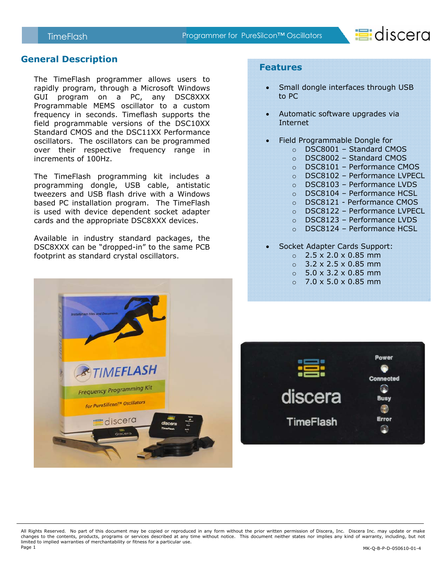

#### **General Description**

The TimeFlash programmer allows users to rapidly program, through a Microsoft Windows GUI program on a PC, any DSC8XXX Programmable MEMS oscillator to a custom frequency in seconds. Timeflash supports the field programmable versions of the DSC10XX Standard CMOS and the DSC11XX Performance oscillators. The oscillators can be programmed over their respective frequency range in increments of 100Hz.

The TimeFlash programming kit includes a programming dongle, USB cable, antistatic tweezers and USB flash drive with a Windows based PC installation program. The TimeFlash is used with device dependent socket adapter cards and the appropriate DSC8XXX devices.

Available in industry standard packages, the DSC8XXX can be "dropped-in" to the same PCB footprint as standard crystal oscillators.



#### **Features**

- Small dongle interfaces through USB to PC
- Automatic software upgrades via Internet
- Field Programmable Dongle for
	- o DSC8001 Standard CMOS
	- o DSC8002 Standard CMOS
	- o DSC8101 Performance CMOS
	- o DSC8102 Performance LVPECL
	- o DSC8103 Performance LVDS
	- o DSC8104 Performance HCSL
	- o DSC8121 Performance CMOS
	- o DSC8122 Performance LVPECL
	- o DSC8123 Performance LVDS
	- o DSC8124 Performance HCSL
- Socket Adapter Cards Support:
	- $\circ$  2.5 x 2.0 x 0.85 mm
	- $\circ$  3.2 x 2.5 x 0.85 mm
	- $\circ$  5.0 x 3.2 x 0.85 mm
	- $0.7.0 \times 5.0 \times 0.85$  mm



All Rights Reserved. No part of this document may be copied or reproduced in any form without the prior written permission of Discera, Inc. Discera Inc. may update or make changes to the contents, products, programs or services described at any time without notice. This document neither states nor implies any kind of warranty, including, but not limited to implied warranties of merchantability or fitness for a particular use.<br>Page 1